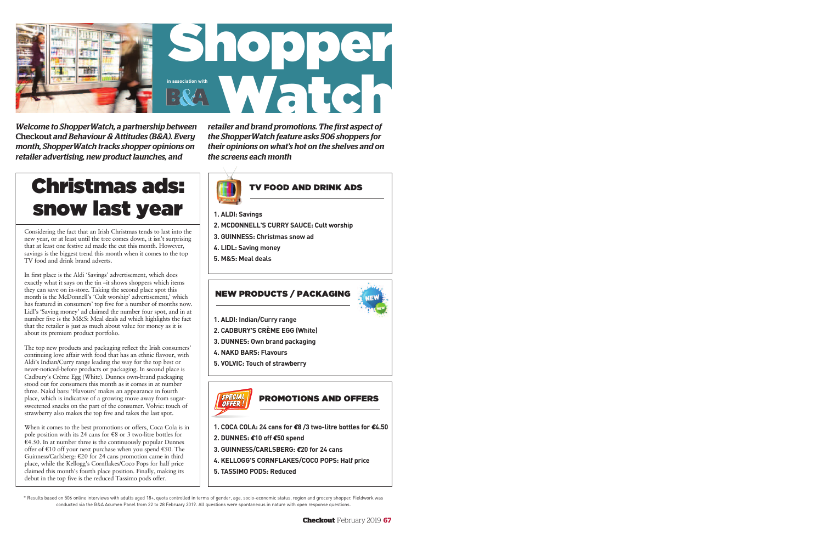Considering the fact that an Irish Christmas tends to last into the new year, or at least until the tree comes down, it isn't surprising that at least one festive ad made the cut this month. However, savings is the biggest trend this month when it comes to the top TV food and drink brand adverts.

In first place is the Aldi 'Savings' advertisement, which does exactly what it says on the tin –it shows shoppers which items they can save on in-store. Taking the second place spot this month is the McDonnell's 'Cult worship' advertisement,' which has featured in consumers' top five for a number of months now. Lidl's 'Saving money' ad claimed the number four spot, and in at number five is the M&S: Meal deals ad which highlights the fact that the retailer is just as much about value for money as it is about its premium product portfolio.

The top new products and packaging reflect the Irish consumers' continuing love affair with food that has an ethnic flavour, with Aldi's Indian/Curry range leading the way for the top best or never-noticed-before products or packaging. In second place is Cadbury's Crème Egg (White). Dunnes own-brand packaging stood out for consumers this month as it comes in at number three. Nakd bars: 'Flavours' makes an appearance in fourth place, which is indicative of a growing move away from sugarsweetened snacks on the part of the consumer. Volvic: touch of strawberry also makes the top five and takes the last spot.

When it comes to the best promotions or offers, Coca Cola is in pole position with its 24 cans for  $\epsilon$ 8 or 3 two-litre bottles for  $\hat{\epsilon}$ 4.50. In at number three is the continuously popular Dunnes offer of  $\epsilon$ 10 off your next purchase when you spend  $\epsilon$ 50. The Guinness/Carlsberg: €20 for 24 cans promotion came in third place, while the Kellogg's Cornflakes/Coco Pops for half price claimed this month's fourth place position. Finally, making its debut in the top five is the reduced Tassimo pods offer.

*Welcome to ShopperWatch, a partnership between* **Checkout** *and Behaviour & Attitudes (B&A). Every month, ShopperWatch tracks shopper opinions on retailer advertising, new product launches, and*

*retailer and brand promotions. The first aspect of the ShopperWatch feature asks 506 shoppers for their opinions on what's hot on the shelves and on the screens each month*

## Christmas ads: snow last year

\* Results based on 506 online interviews with adults aged 18+, quota controlled in terms of gender, age, socio-economic status, region and grocery shopper. Fieldwork was conducted via the B&A Acumen Panel from 22 to 28 February 2019. All questions were spontaneous in nature with open response questions.



- **1. ALDI: Savings**
- **2. MCDONNELL'S CURRY SAUCE: Cult worship**
- **3. GUINNESS: Christmas snow ad**
- **4. LIDL: Saving money**
- **5. M&S: Meal deals**

## TV FOOD AND DRINK ADS

- **1. ALDI: Indian/Curry range**
- **2. CADBURY'S CRÈME EGG (White)**
- **3. DUNNES: Own brand packaging**
- **4. NAKD BARS: Flavours**
- **5. VOLVIC: Touch of strawberry**

#### NEW PRODUCTS / PACKAGING



- **1. COCA COLA: 24 cans for** *€***8 /3 two-litre bottles for** *€***4.50**
- **2. DUNNES:** *€***10 off** *€***50 spend**
- **3. GUINNESS/CARLSBERG:** *€***20 for 24 cans**
- **4. KELLOGG'S CORNFLAKES/COCO POPS: Half price**
- **5. TASSIMO PODS: Reduced**

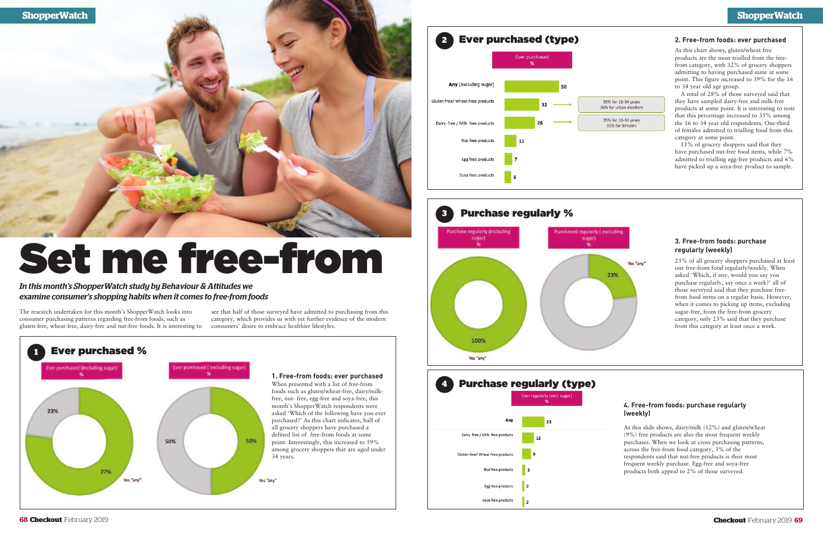

The research undertaken for this month's ShopperWatch looks into consumer purchasing patterns regarding free-from foods, such as gluten-free, wheat-free, dairy-free and nut-free foods. It is interesting to consumers' desire to embrace healthier lifestyles.

#### Ever purchased (type) **2** Ever purchased  $\alpha$ Any (excluding sugar) Gluten free/ Wheat Free products 39% for 16-34 years 36% for urban dwellers 35% for 16-34 years Dairy free / Milk free products 33% for females Nut free products 11 Egg free product: Soya free products

see that half of those surveyed have admitted to purchasing from this category, which provides us with yet further evidence of the modern

*In this month's ShopperWatch study by Behaviour & Attitudes we examine consumer's shopping habits when it comes to free-from foods*

# Set me free-from

#### **2. Free-from foods: ever purchased**

As this chart shows, gluten/wheat free products are the most trialled from the freefrom category, with 32% of grocery shoppers admitting to having purchased same at some point. This figure increased to 39% for the 16 to 34 year old age group.





A total of 28% of those surveyed said that they have sampled dairy-free and milk-free products at some point. It is interesting to note that this percentage increased to 35% among the 16 to 34 year old respondents. One-third of females admitted to trialling food from this category at some point.

11% of grocery shoppers said that they have purchased nut-free food items, while 7% admitted to trialling egg-free products and 6% have picked up a soya-free product to sample.

## **4. Free-from foods: purchase regularly**



As this slide shows, dairy/milk (12%) and gluten/wheat (9%) free products are also the most frequent weekly purchases. When we look at cross purchasing patterns, across the free-from food category, 3% of the respondents said that nut-free products is their most frequent weekly purchase. Egg-free and soya-free products both appeal to 2% of those surveyed.

#### **3. Free-from foods: purchase regularly (weekly)**

23% of all grocery shoppers purchased at least one free-from food regularly/weekly. When asked 'Which, if any, would you say you purchase regularly, say once a week?' all of those surveyed said that they purchase freefrom food items on a regular basis. However, when it comes to picking up items, excluding sugar-free, from the free-from grocery category, only 23% said that they purchase from this category at least once a week.